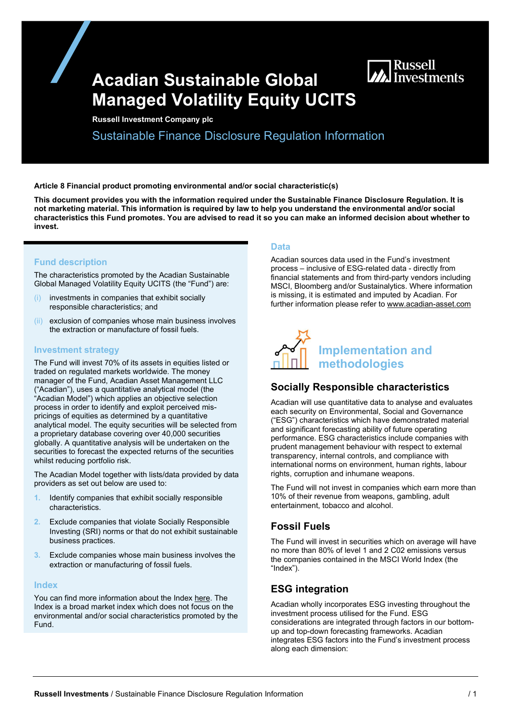# Acadian Sustainable Global Managed Volatility Equity UCITS

Russell Investment Company plc

Sustainable Finance Disclosure Regulation Information

Article 8 Financial product promoting environmental and/or social characteristic(s)

This document provides you with the information required under the Sustainable Finance Disclosure Regulation. It is not marketing material. This information is required by law to help you understand the environmental and/or social characteristics this Fund promotes. You are advised to read it so you can make an informed decision about whether to invest.

### Fund description

The characteristics promoted by the Acadian Sustainable Global Managed Volatility Equity UCITS (the "Fund") are:

- investments in companies that exhibit socially responsible characteristics; and
- (ii) exclusion of companies whose main business involves the extraction or manufacture of fossil fuels.

#### Investment strategy

The Fund will invest 70% of its assets in equities listed or traded on regulated markets worldwide. The money manager of the Fund, Acadian Asset Management LLC ("Acadian"), uses a quantitative analytical model (the "Acadian Model") which applies an objective selection process in order to identify and exploit perceived mispricings of equities as determined by a quantitative analytical model. The equity securities will be selected from a proprietary database covering over 40,000 securities globally. A quantitative analysis will be undertaken on the securities to forecast the expected returns of the securities whilst reducing portfolio risk.

The Acadian Model together with lists/data provided by data providers as set out below are used to:

- 1. Identify companies that exhibit socially responsible characteristics.
- 2. Exclude companies that violate Socially Responsible Investing (SRI) norms or that do not exhibit sustainable business practices.
- 3. Exclude companies whose main business involves the extraction or manufacturing of fossil fuels.

#### **Index**

You can find more information about the Index here. The Index is a broad market index which does not focus on the environmental and/or social characteristics promoted by the Fund.

#### Data

Acadian sources data used in the Fund's investment process – inclusive of ESG-related data - directly from financial statements and from third-party vendors including MSCI, Bloomberg and/or Sustainalytics. Where information is missing, it is estimated and imputed by Acadian. For further information please refer to www.acadian-asset.com

**MA** Russell<br>Ma Investments



### Socially Responsible characteristics

Acadian will use quantitative data to analyse and evaluates each security on Environmental, Social and Governance ("ESG") characteristics which have demonstrated material and significant forecasting ability of future operating performance. ESG characteristics include companies with prudent management behaviour with respect to external transparency, internal controls, and compliance with international norms on environment, human rights, labour rights, corruption and inhumane weapons.

The Fund will not invest in companies which earn more than 10% of their revenue from weapons, gambling, adult entertainment, tobacco and alcohol.

# Fossil Fuels

The Fund will invest in securities which on average will have no more than 80% of level 1 and 2 C02 emissions versus the companies contained in the MSCI World Index (the "Index").

### ESG integration

Acadian wholly incorporates ESG investing throughout the investment process utilised for the Fund. ESG considerations are integrated through factors in our bottomup and top-down forecasting frameworks. Acadian integrates ESG factors into the Fund's investment process along each dimension: